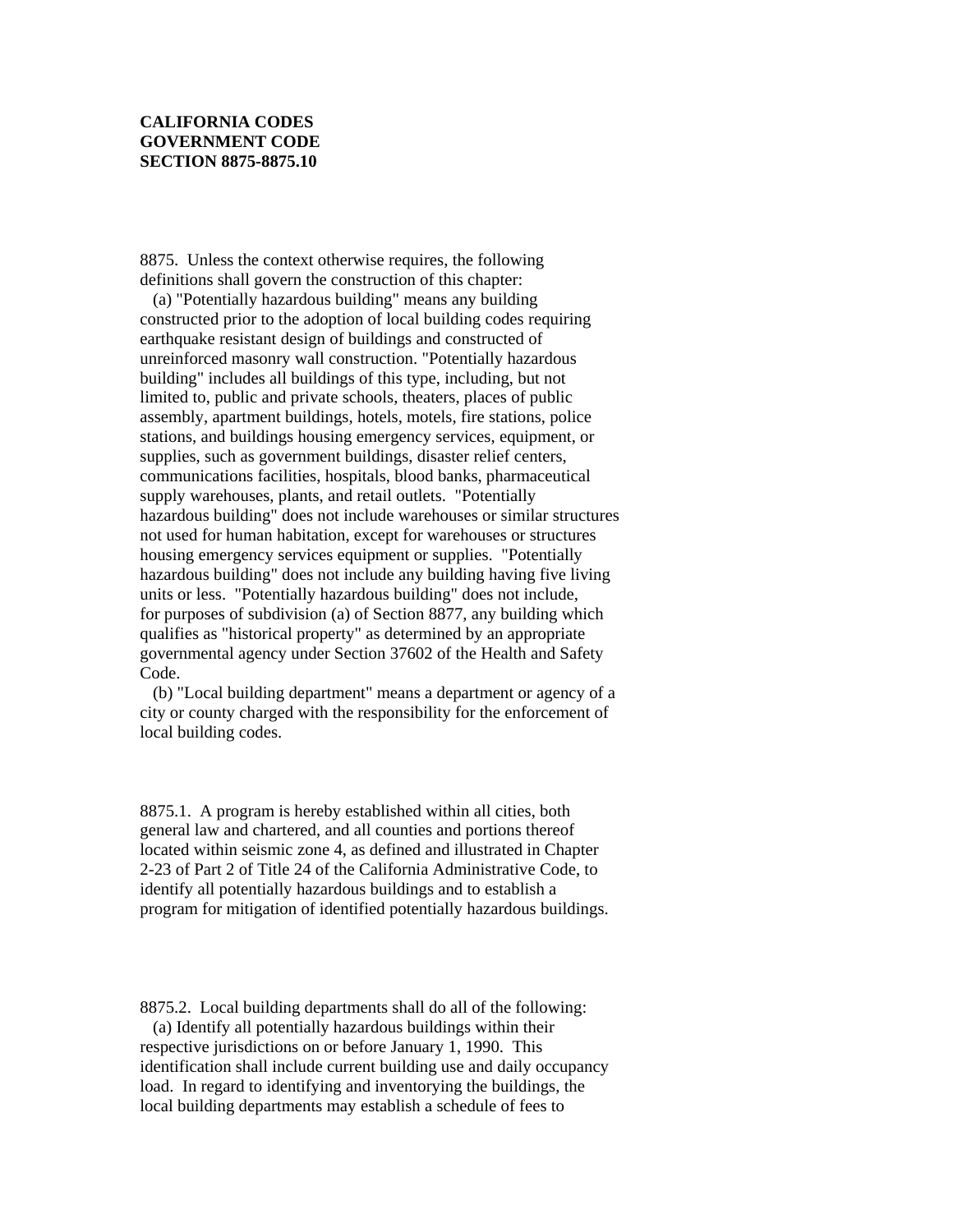## **CALIFORNIA CODES GOVERNMENT CODE SECTION 8875-8875.10**

8875. Unless the context otherwise requires, the following definitions shall govern the construction of this chapter:

 (a) "Potentially hazardous building" means any building constructed prior to the adoption of local building codes requiring earthquake resistant design of buildings and constructed of unreinforced masonry wall construction. "Potentially hazardous building" includes all buildings of this type, including, but not limited to, public and private schools, theaters, places of public assembly, apartment buildings, hotels, motels, fire stations, police stations, and buildings housing emergency services, equipment, or supplies, such as government buildings, disaster relief centers, communications facilities, hospitals, blood banks, pharmaceutical supply warehouses, plants, and retail outlets. "Potentially hazardous building" does not include warehouses or similar structures not used for human habitation, except for warehouses or structures housing emergency services equipment or supplies. "Potentially hazardous building" does not include any building having five living units or less. "Potentially hazardous building" does not include, for purposes of subdivision (a) of Section 8877, any building which qualifies as "historical property" as determined by an appropriate governmental agency under Section 37602 of the Health and Safety Code.

 (b) "Local building department" means a department or agency of a city or county charged with the responsibility for the enforcement of local building codes.

8875.1. A program is hereby established within all cities, both general law and chartered, and all counties and portions thereof located within seismic zone 4, as defined and illustrated in Chapter 2-23 of Part 2 of Title 24 of the California Administrative Code, to identify all potentially hazardous buildings and to establish a program for mitigation of identified potentially hazardous buildings.

8875.2. Local building departments shall do all of the following:

 (a) Identify all potentially hazardous buildings within their respective jurisdictions on or before January 1, 1990. This identification shall include current building use and daily occupancy load. In regard to identifying and inventorying the buildings, the local building departments may establish a schedule of fees to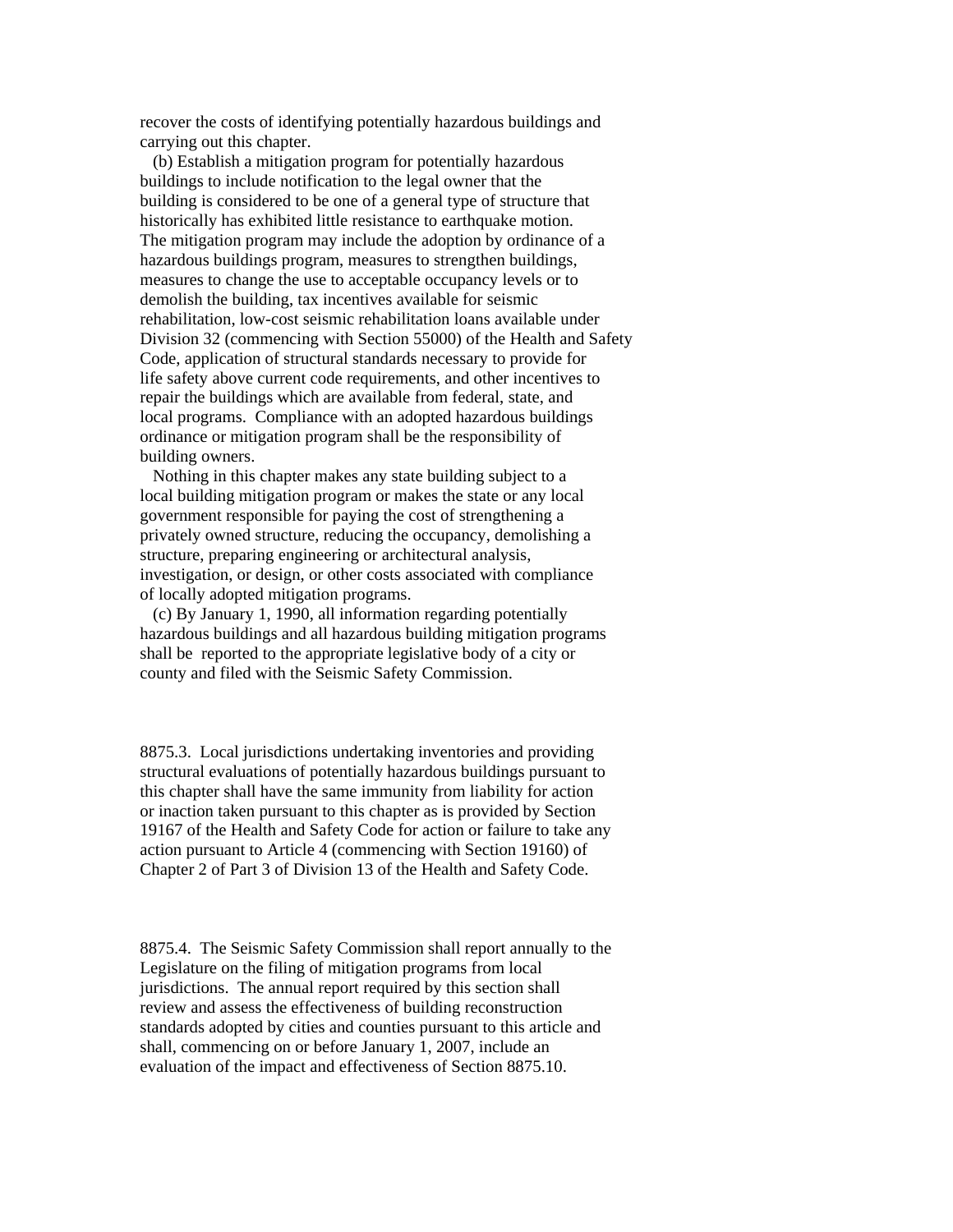recover the costs of identifying potentially hazardous buildings and carrying out this chapter.

 (b) Establish a mitigation program for potentially hazardous buildings to include notification to the legal owner that the building is considered to be one of a general type of structure that historically has exhibited little resistance to earthquake motion. The mitigation program may include the adoption by ordinance of a hazardous buildings program, measures to strengthen buildings, measures to change the use to acceptable occupancy levels or to demolish the building, tax incentives available for seismic rehabilitation, low-cost seismic rehabilitation loans available under Division 32 (commencing with Section 55000) of the Health and Safety Code, application of structural standards necessary to provide for life safety above current code requirements, and other incentives to repair the buildings which are available from federal, state, and local programs. Compliance with an adopted hazardous buildings ordinance or mitigation program shall be the responsibility of building owners.

 Nothing in this chapter makes any state building subject to a local building mitigation program or makes the state or any local government responsible for paying the cost of strengthening a privately owned structure, reducing the occupancy, demolishing a structure, preparing engineering or architectural analysis, investigation, or design, or other costs associated with compliance of locally adopted mitigation programs.

 (c) By January 1, 1990, all information regarding potentially hazardous buildings and all hazardous building mitigation programs shall be reported to the appropriate legislative body of a city or county and filed with the Seismic Safety Commission.

8875.3. Local jurisdictions undertaking inventories and providing structural evaluations of potentially hazardous buildings pursuant to this chapter shall have the same immunity from liability for action or inaction taken pursuant to this chapter as is provided by Section 19167 of the Health and Safety Code for action or failure to take any action pursuant to Article 4 (commencing with Section 19160) of Chapter 2 of Part 3 of Division 13 of the Health and Safety Code.

8875.4. The Seismic Safety Commission shall report annually to the Legislature on the filing of mitigation programs from local jurisdictions. The annual report required by this section shall review and assess the effectiveness of building reconstruction standards adopted by cities and counties pursuant to this article and shall, commencing on or before January 1, 2007, include an evaluation of the impact and effectiveness of Section 8875.10.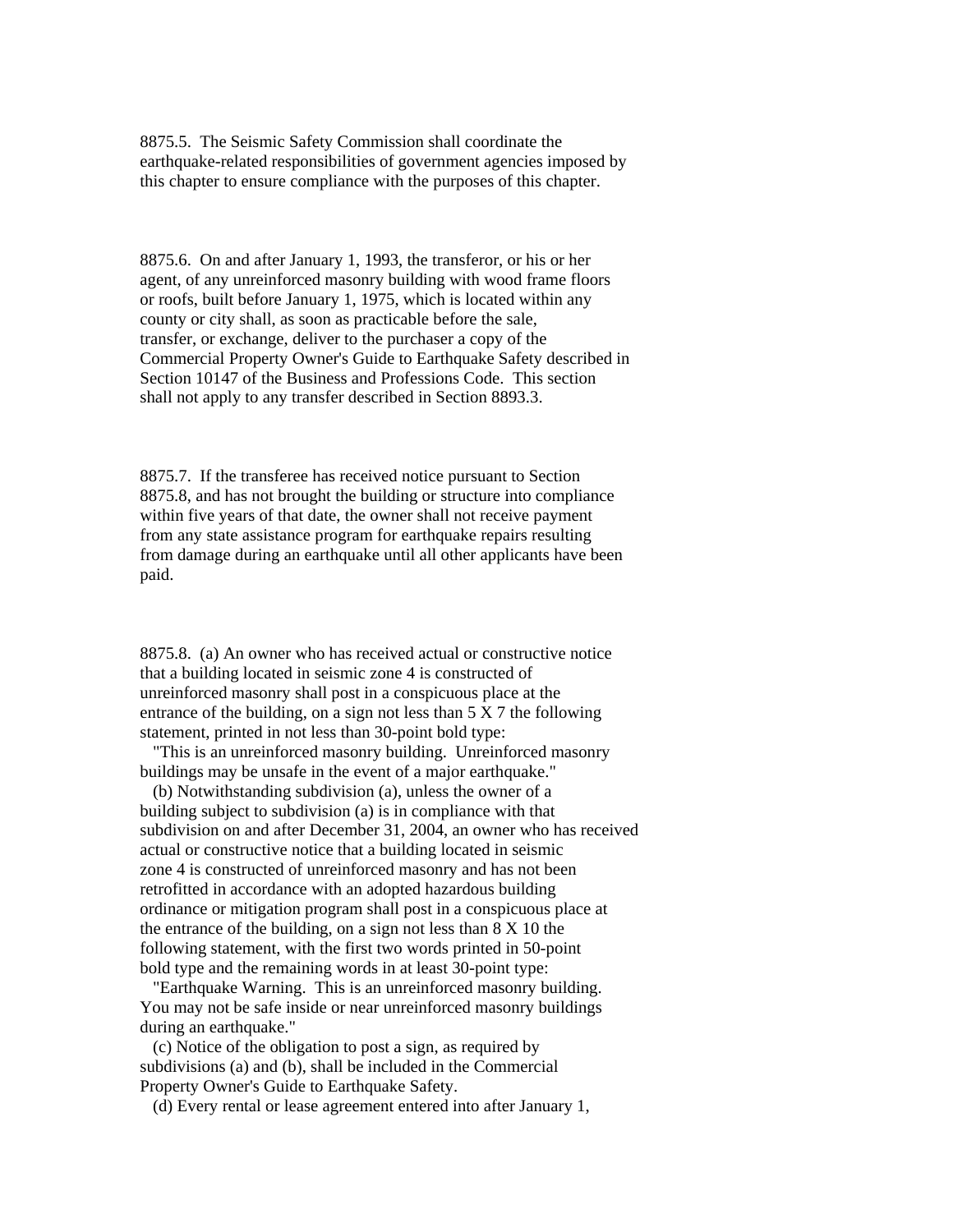8875.5. The Seismic Safety Commission shall coordinate the earthquake-related responsibilities of government agencies imposed by this chapter to ensure compliance with the purposes of this chapter.

8875.6. On and after January 1, 1993, the transferor, or his or her agent, of any unreinforced masonry building with wood frame floors or roofs, built before January 1, 1975, which is located within any county or city shall, as soon as practicable before the sale, transfer, or exchange, deliver to the purchaser a copy of the Commercial Property Owner's Guide to Earthquake Safety described in Section 10147 of the Business and Professions Code. This section shall not apply to any transfer described in Section 8893.3.

8875.7. If the transferee has received notice pursuant to Section 8875.8, and has not brought the building or structure into compliance within five years of that date, the owner shall not receive payment from any state assistance program for earthquake repairs resulting from damage during an earthquake until all other applicants have been paid.

8875.8. (a) An owner who has received actual or constructive notice that a building located in seismic zone 4 is constructed of unreinforced masonry shall post in a conspicuous place at the entrance of the building, on a sign not less than  $5 \times 7$  the following statement, printed in not less than 30-point bold type:

 "This is an unreinforced masonry building. Unreinforced masonry buildings may be unsafe in the event of a major earthquake."

 (b) Notwithstanding subdivision (a), unless the owner of a building subject to subdivision (a) is in compliance with that subdivision on and after December 31, 2004, an owner who has received actual or constructive notice that a building located in seismic zone 4 is constructed of unreinforced masonry and has not been retrofitted in accordance with an adopted hazardous building ordinance or mitigation program shall post in a conspicuous place at the entrance of the building, on a sign not less than 8 X 10 the following statement, with the first two words printed in 50-point bold type and the remaining words in at least 30-point type:

 "Earthquake Warning. This is an unreinforced masonry building. You may not be safe inside or near unreinforced masonry buildings during an earthquake."

 (c) Notice of the obligation to post a sign, as required by subdivisions (a) and (b), shall be included in the Commercial Property Owner's Guide to Earthquake Safety.

(d) Every rental or lease agreement entered into after January 1,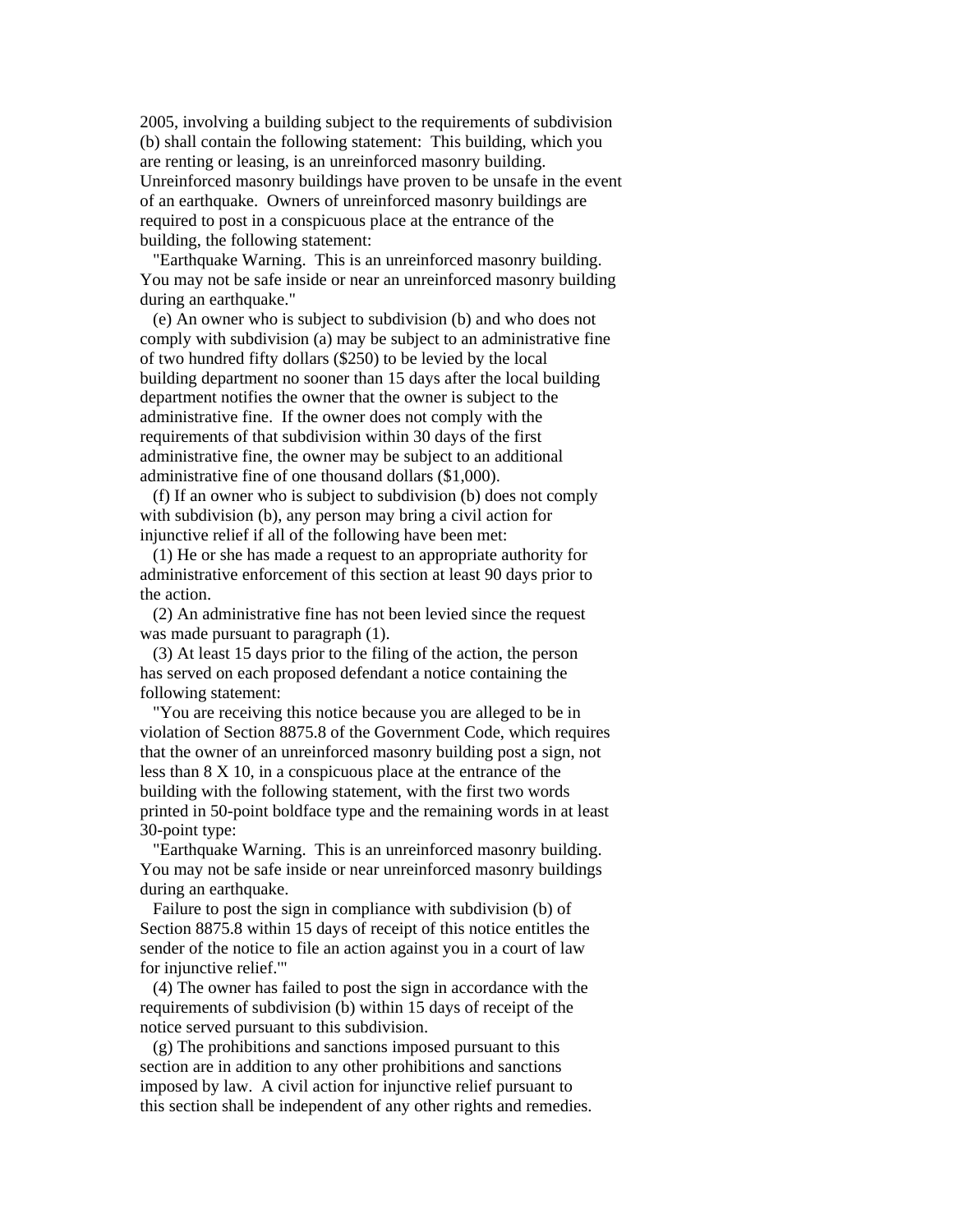2005, involving a building subject to the requirements of subdivision (b) shall contain the following statement: This building, which you are renting or leasing, is an unreinforced masonry building. Unreinforced masonry buildings have proven to be unsafe in the event of an earthquake. Owners of unreinforced masonry buildings are required to post in a conspicuous place at the entrance of the building, the following statement:

 "Earthquake Warning. This is an unreinforced masonry building. You may not be safe inside or near an unreinforced masonry building during an earthquake."

 (e) An owner who is subject to subdivision (b) and who does not comply with subdivision (a) may be subject to an administrative fine of two hundred fifty dollars (\$250) to be levied by the local building department no sooner than 15 days after the local building department notifies the owner that the owner is subject to the administrative fine. If the owner does not comply with the requirements of that subdivision within 30 days of the first administrative fine, the owner may be subject to an additional administrative fine of one thousand dollars (\$1,000).

 (f) If an owner who is subject to subdivision (b) does not comply with subdivision (b), any person may bring a civil action for injunctive relief if all of the following have been met:

 (1) He or she has made a request to an appropriate authority for administrative enforcement of this section at least 90 days prior to the action.

 (2) An administrative fine has not been levied since the request was made pursuant to paragraph (1).

 (3) At least 15 days prior to the filing of the action, the person has served on each proposed defendant a notice containing the following statement:

 "You are receiving this notice because you are alleged to be in violation of Section 8875.8 of the Government Code, which requires that the owner of an unreinforced masonry building post a sign, not less than 8 X 10, in a conspicuous place at the entrance of the building with the following statement, with the first two words printed in 50-point boldface type and the remaining words in at least 30-point type:

 "Earthquake Warning. This is an unreinforced masonry building. You may not be safe inside or near unreinforced masonry buildings during an earthquake.

 Failure to post the sign in compliance with subdivision (b) of Section 8875.8 within 15 days of receipt of this notice entitles the sender of the notice to file an action against you in a court of law for injunctive relief.'"

 (4) The owner has failed to post the sign in accordance with the requirements of subdivision (b) within 15 days of receipt of the notice served pursuant to this subdivision.

 (g) The prohibitions and sanctions imposed pursuant to this section are in addition to any other prohibitions and sanctions imposed by law. A civil action for injunctive relief pursuant to this section shall be independent of any other rights and remedies.